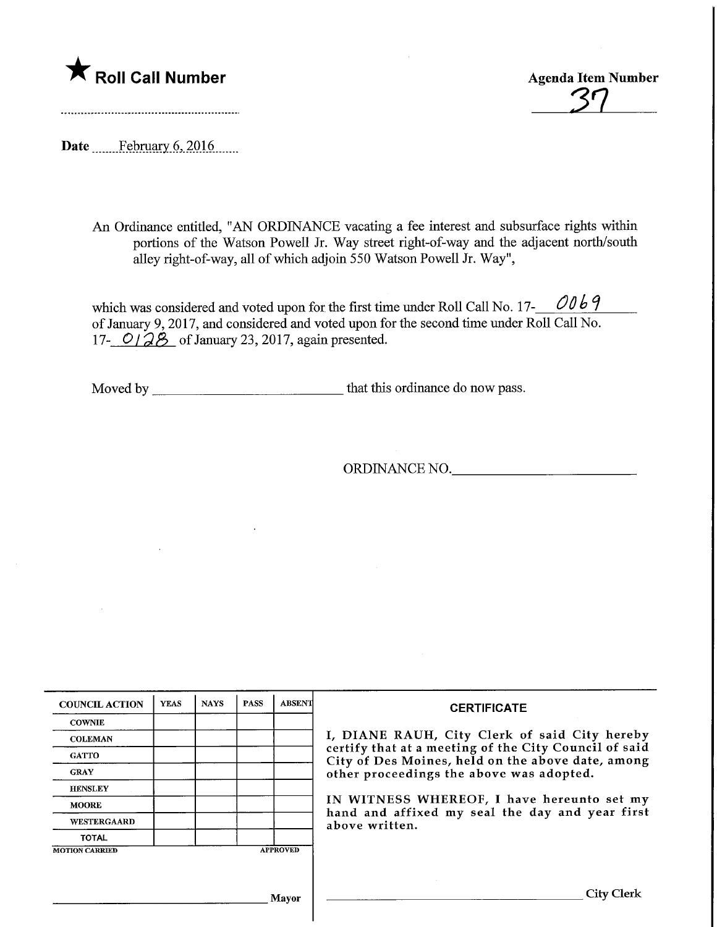## **The Soli Call Number** Agenda Item Number

 $\overline{37}$ 

Date ........Febmary.6,2016.

An Ordinance entitled, "AN ORDINANCE vacating a fee interest and subsurface rights within portions of the Watson Powell Jr. Way street right-of-way and the adjacent north/south alley right-of-way, all of which adjoin 550 Watson Powell Jr. Way",

which was considered and voted upon for the first time under Roll Call No. 17- $\angle$  0069 of January 9, 2017, and considered and voted upon for the second time under Roll Call No. 17-  $O/\partial\beta$  of January 23, 2017, again presented.

Moved by that this ordinance do now pass.

ORDINANCE NO.

| <b>COUNCIL ACTION</b>                    | <b>YEAS</b> | <b>NAYS</b> | <b>PASS</b> | <b>ABSENT</b> | <b>CERTIFICATE</b>                                                                                                                                                                                      |  |
|------------------------------------------|-------------|-------------|-------------|---------------|---------------------------------------------------------------------------------------------------------------------------------------------------------------------------------------------------------|--|
| <b>COWNIE</b>                            |             |             |             |               | I, DIANE RAUH, City Clerk of said City hereby<br>certify that at a meeting of the City Council of said<br>City of Des Moines, held on the above date, among<br>other proceedings the above was adopted. |  |
| <b>COLEMAN</b>                           |             |             |             |               |                                                                                                                                                                                                         |  |
| <b>GATTO</b>                             |             |             |             |               |                                                                                                                                                                                                         |  |
| <b>GRAY</b>                              |             |             |             |               |                                                                                                                                                                                                         |  |
| <b>HENSLEY</b>                           |             |             |             |               |                                                                                                                                                                                                         |  |
| <b>MOORE</b>                             |             |             |             |               | IN WITNESS WHEREOF, I have hereunto set my<br>hand and affixed my seal the day and year first<br>above written.                                                                                         |  |
| <b>WESTERGAARD</b>                       |             |             |             |               |                                                                                                                                                                                                         |  |
| <b>TOTAL</b>                             |             |             |             |               |                                                                                                                                                                                                         |  |
| <b>APPROVED</b><br><b>MOTION CARRIED</b> |             |             |             |               |                                                                                                                                                                                                         |  |
|                                          |             |             |             |               |                                                                                                                                                                                                         |  |
| Mayor                                    |             |             |             |               | City Clerk                                                                                                                                                                                              |  |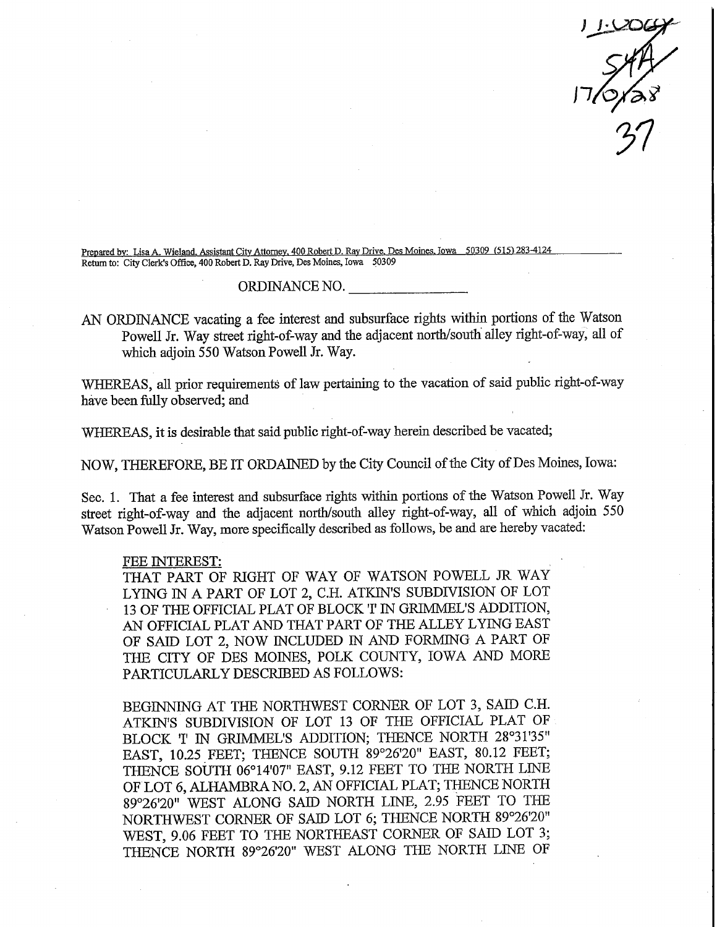$\frac{110009}{547}$ 

Prepared by: Lisa A. Wieland. Assistant City Attorney. 400 Robert D. Ray Drive. Des Moines. Iowa 50309 (515) 283-4124 Return to: City Clerk's Office, 400 Robert D. Ray Drive, Des Moines, Iowa 50309

## ORDINANCE NO.

AN ORDINANCE vacating a fee interest and subsurface rights within portions of the Watson Powell Jr. Way street right-of-way and the adjacent north/south alley right-of-way, all of which adjoin 550 Watson Powell Jr. Way.

WHEREAS, all prior requirements of law pertaining to the vacation of said public right-of-way have been fully observed; and

WHEREAS, it is desirable that said public right-of-way herein described be vacated;

NOW, THEREFORE, BE IT ORDAINED by the City Council of the City of Des Moines, Iowa:

Sec. 1. That a fee interest and subsurface rights within portions of the Watson Powell Jr. Way street right-of-way and the adjacent north/south alley right-of-way, all of which adjoin 550 Watson Powell Jr. Way, more specifically described as follows, be and are hereby vacated:

## FEE INTEREST:

THAT PART OF RIGHT OF WAY OF WATSON POWELL JR WAY LYING IN A PART OF LOT 2, C.H. ATKIN'S SUBDIVISION OF LOT 13 OF THE OFFICIAL PLAT OF BLOCK 'I' IN GRIMMEL'S ADDITION, AN OFFICIAL PLAT AND THAT PART OF THE ALLEY LYING EAST OF SAID LOT 2, NOW INCLUDED IN AND FORMING A PART OF THE CITY OF DES MOINES, POLK COUNTY, IOWA AND MORE PARTICULARLY DESCRIBED AS FOLLOWS:

BEGINNING AT THE NORTHWEST CORNER OF LOT 3, SAID C.H. ATKIN'S SUBDWISION OF LOT 13 OP THE OFFICIAL PLAT OF BLOCK 'I' IN GRIMMEL'S ADDITION; THENCE NORTH 28°31'35" EAST, 10.25 FEET; THENCE SOUTH 89°26'20" EAST, 80.12 FEET; THENCE SOUTH 06°14'07" EAST, 9.12 FEET TO THE NORTH LINE OF LOT 6, ALHAMBRA NO. 2, AN OFFICIAL PLAT; THENCE NORTH 89°26'20" WEST ALONG SAID NORTH LINE, 2.95 FEET TO THE NORTHWEST CORNER OF SAID LOT 6; THENCE NORTH 89°26'20" WEST, 9.06 FEET TO THE NORTHEAST CORNER OF SAID LOT 3; THENCE NORTH 89°26'20" WEST ALONG THE NORTH LINE OF